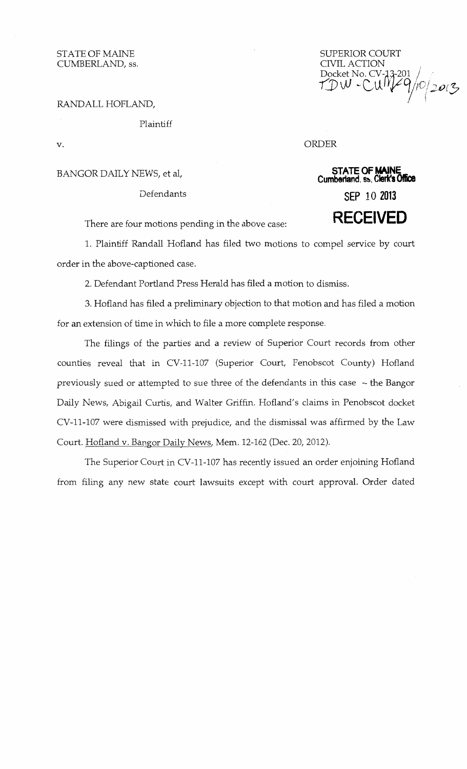STATE OF MAINE CUMBERLAND, ss.

SUPERIOR COURT<br>CIVIL ACTION CIVIL ACTION<br>Docket No. CV-13-201<br>TDW -CUM*L*9/10/2013

RANDALL HOFLAND,

Plaintiff

v.

BANGOR DAILY NEWS, et al,

## Defendants

**STATE OF MAINE Cumberland.** S!!o, **Clerk's Offk:e SEP 10 <sup>2013</sup> RECEIVED** 

ORDER

There are four motions pending in the above case:

1. Plaintiff Randall Hofland has filed two motions to compel service by court order in the above-captioned case.

2. Defendant Portland Press Herald has filed a motion to dismiss.

3. Hofland has filed a preliminary objection to that motion and has filed a motion for an extension of time in which to file a more complete response.

The filings of the parties and a review of Superior Court records from other counties reveal that in CV-11-107 (Superior Court, Penobscot County) Hofland previously sued or attempted to sue three of the defendants in this case - the Bangor Daily News, Abigail Curtis, and Walter Griffin. Hofland's claims in Penobscot docket CV-11-107 were dismissed with prejudice, and the dismissal was affirmed by the Law Court. Hofland v. Bangor Daily News, Mem. 12-162 (Dec. 20, 2012).

The Superior Court in CV-11-107 has recently issued an order enjoining Hofland from filing any new state court lawsuits except with court approval. Order dated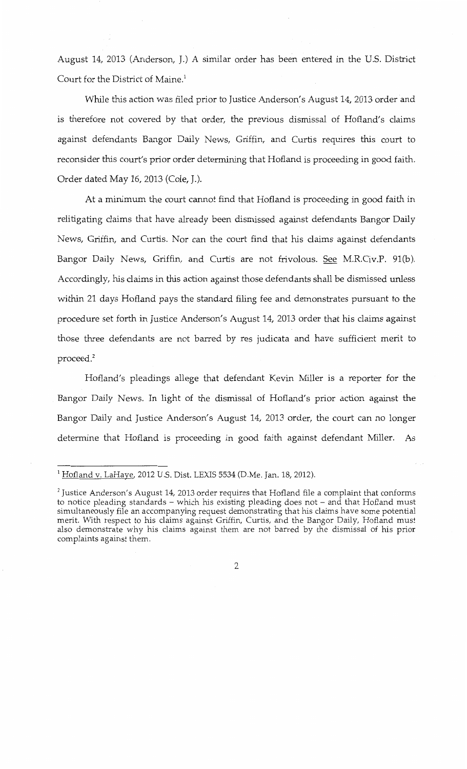August 14, 2013 (Anderson, J.) A similar order has been entered in the U.S. District Court for the District of Maine.<sup>1</sup>

While this action was filed prior to Justice Anderson's August 14, 2013 order and is therefore not covered by that order, the previous dismissal of Hofland's claims against defendants Bangor Daily News, Griffin, and Curtis requires this court to reconsider this court's prior order determining that Hofland is proceeding in good faith. Order dated May 16, 2013 (Cole, J.).

At a minimum the court cannot find that Hofland is proceeding in good faith in relitigating claims that have already been dismissed against defendants Bangor Daily News, Griffin, and Curtis. Nor can the court find that his claims against defendants Bangor Daily News, Griffin, and Curtis are not frivolous. See M.R.Civ.P. 91(b). Accordingly, his claims in this action against those defendants shall be dismissed unless within 21 days Hofland pays the standard filing fee and demonstrates pursuant to the procedure set forth in Justice Anderson's August 14, 2013 order that his claims against those three defendants are not barred by res judicata and have sufficient merit to proceed.2

Hofland's pleadings allege that defendant Kevin Miller is a reporter for the Bangor Daily News. In light of the dismissal of Hofland's prior action against the Bangor Daily and Justice Anderson's August 14, 2013 order, the court can no longer determine that Hofland is proceeding in good faith against defendant Miller. As

<sup>&</sup>lt;sup>1</sup> Hofland v. LaHaye, 2012 U.S. Dist. LEXIS 5534 (D.Me. Jan. 18, 2012).

<sup>&</sup>lt;sup>2</sup> Justice Anderson's August 14, 2013 order requires that Hofland file a complaint that conforms to notice pleading standards - which his existing pleading does not - and that Hofland must simultaneously file an accompanying request demonstrating that his claims have some potential merit. With respect to his claims against Griffin, Curtis, and the Bangor Daily, Hofland must also demonstrate why his claims against them are not barred by the dismissal of his prior complaints against them.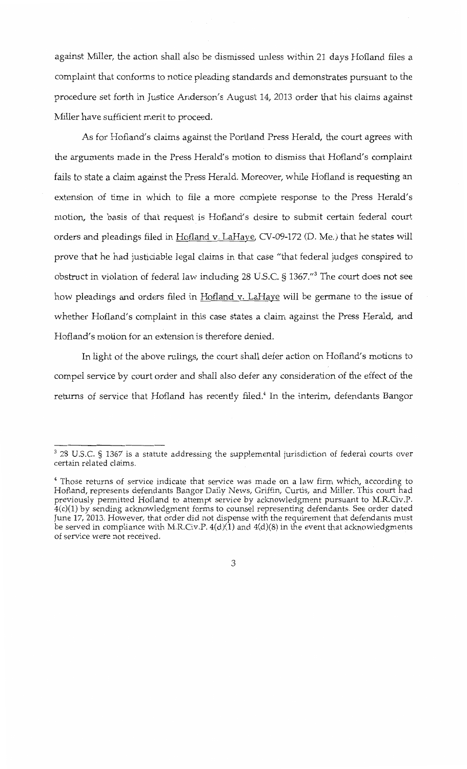against Miller, the action shall also be dismissed unless within 21 days Hofland files a complaint that conforms to notice pleading standards and demonstrates pursuant to the procedure set forth in Justice Anderson's August 14, 2013 order that his claims against Miller have sufficient merit to proceed.

As for Hofland's claims against the Portland Press Herald, the court agrees with the arguments made in the Press Herald's motion to dismiss that Hofland's complaint fails to state a claim against the Press Herald. Moreover, while Hofland is requesting an extension of time in which to file a more complete response to the Press Herald's motion, the basis of that request is Hofland's desire to submit certain federal court orders and pleadings filed in Hofland v. LaHaye, CV-09-172 (D. Me.) that he states will prove that he had justiciable legal claims in that case "that federal judges conspired to obstruct in violation of federal law including 28 U.S.C. § 1367."3 The court does not see how pleadings and orders filed in Hofland v. LaHaye will be germane to the issue of whether Hofland's complaint in this case states a claim against the Press Herald, and Hofland's motion for an extension is therefore denied.

In light of the above rulings, the court shall defer action on Hofland's motions to compel service by court order and shall also defer any consideration of the effect of the returns of service that Hofland has recently filed.<sup>4</sup> In the interim, defendants Bangor

 $3$  28 U.S.C. § 1367 is a statute addressing the supplemental jurisdiction of federal courts over certain related claims.

<sup>4</sup> Those returns of service indicate that service was made on a law firm which, according to Hofland, represents defendants Bangor Daily News, Griffin, Curtis, and Miller. This court had previously permitted Hofland to attempt service by acknowledgment pursuant to M.R.Civ.P. 4(c)(1) by sending acknowledgment forms to counsel representing defendants. See order dated June 17, 2013. However, that order did not dispense with the requirement that defendants must be served in compliance with M.R.Civ.P.  $4(d)(1)$  and  $4(d)(8)$  in the event that acknowledgments of service were not received.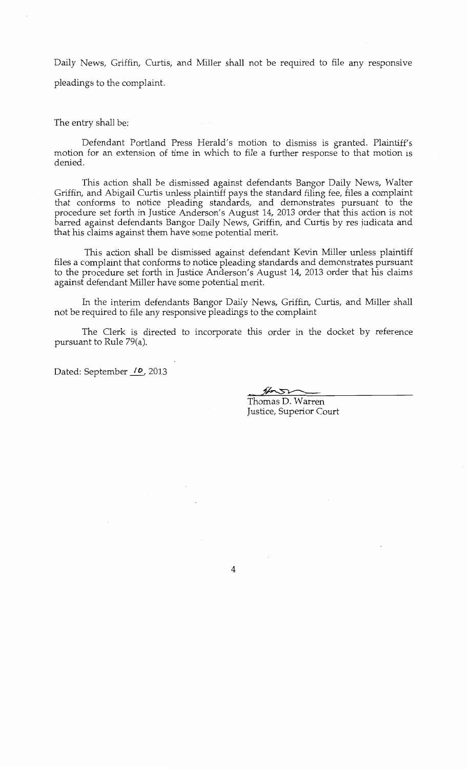Daily News, Griffin, Curtis, and Miller shall not be required to file any responsive pleadings to the complaint.

The entry shall be:

Defendant Portland Press Herald's motion to dismiss is granted. Plaintiff's motion for an extension of time in which to file a further response to that motion is denied.

This action shall be dismissed against defendants Bangor Daily News, Walter Griffin, and Abigail Curtis unless plaintiff pays the standard filing fee, files a complaint that conforms to notice pleading standards, and demonstrates pursuant to the procedure set forth in Justice Anderson's August 14, 2013 order that this action is not barred against defendants Bangor Daily News, Griffin, and Curtis by res judicata and that his claims against them have some potential merit.

This action shall be dismissed against defendant Kevin Miller unless plaintiff files a complaint that conforms to notice pleading standards and demonstrates pursuant to the procedure set forth in Justice Anderson's August 14, 2013 order that his claims against defendant Miller have some potential merit.

In the interim defendants Bangor Daily News, Griffin, Curtis, and Miller shall not be required to file any responsive pleadings to the complaint

The Clerk is directed to incorporate this order in the docket by reference pursuant to Rule 79(a).

Dated: September  $\mu$ , 2013

Thomas D. Warren Justice, Superior Court